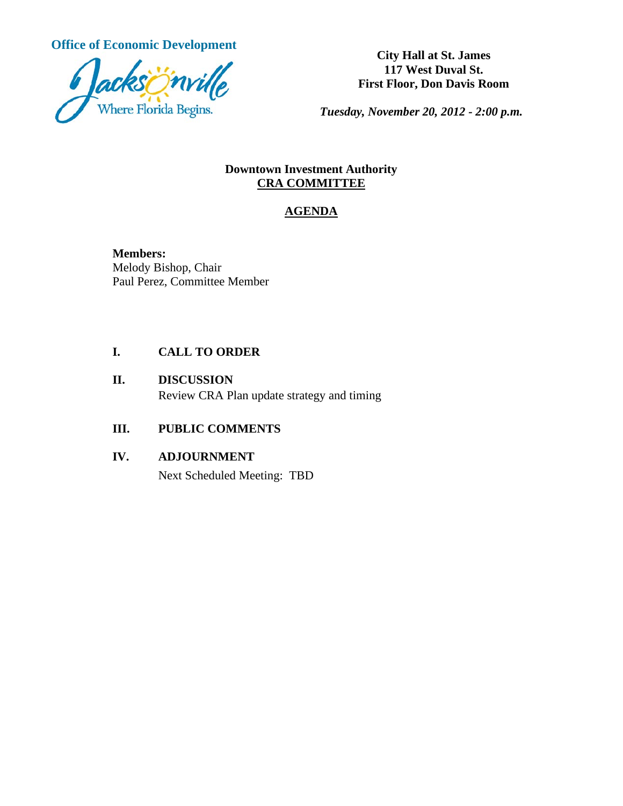**Office of Economic Development**<br> **City Hall at St. James** 



**117 West Duval St. First Floor, Don Davis Room**

*Tuesday, November 20, 2012 - 2:00 p.m.*

#### **Downtown Investment Authority CRA COMMITTEE**

# **AGENDA**

**Members:** Melody Bishop, Chair Paul Perez, Committee Member

#### **I. CALL TO ORDER**

## **II. DISCUSSION** Review CRA Plan update strategy and timing

## **III. PUBLIC COMMENTS**

## **IV. ADJOURNMENT**

Next Scheduled Meeting: TBD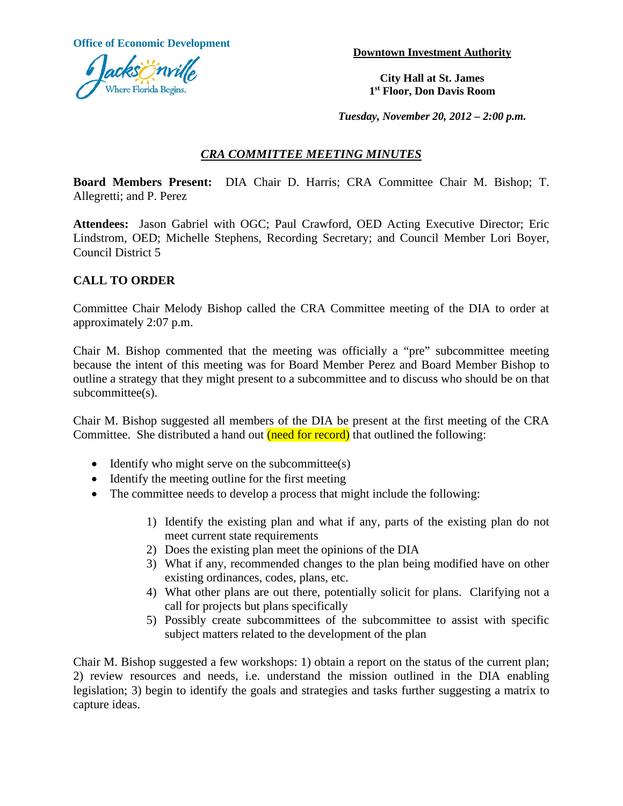**Office of Economic Development Downtown Investment Authority** 



**City Hall at St. James 1st Floor, Don Davis Room**

*Tuesday, November 20, 2012 – 2:00 p.m.*

## *CRA COMMITTEE MEETING MINUTES*

**Board Members Present:** DIA Chair D. Harris; CRA Committee Chair M. Bishop; T. Allegretti; and P. Perez

**Attendees:** Jason Gabriel with OGC; Paul Crawford, OED Acting Executive Director; Eric Lindstrom, OED; Michelle Stephens, Recording Secretary; and Council Member Lori Boyer, Council District 5

#### **CALL TO ORDER**

Committee Chair Melody Bishop called the CRA Committee meeting of the DIA to order at approximately 2:07 p.m.

Chair M. Bishop commented that the meeting was officially a "pre" subcommittee meeting because the intent of this meeting was for Board Member Perez and Board Member Bishop to outline a strategy that they might present to a subcommittee and to discuss who should be on that subcommittee(s).

Chair M. Bishop suggested all members of the DIA be present at the first meeting of the CRA Committee. She distributed a hand out (need for record) that outlined the following:

- Identify who might serve on the subcommittee(s)
- Identify the meeting outline for the first meeting
- The committee needs to develop a process that might include the following:
	- 1) Identify the existing plan and what if any, parts of the existing plan do not meet current state requirements
	- 2) Does the existing plan meet the opinions of the DIA
	- 3) What if any, recommended changes to the plan being modified have on other existing ordinances, codes, plans, etc.
	- 4) What other plans are out there, potentially solicit for plans. Clarifying not a call for projects but plans specifically
	- 5) Possibly create subcommittees of the subcommittee to assist with specific subject matters related to the development of the plan

Chair M. Bishop suggested a few workshops: 1) obtain a report on the status of the current plan; 2) review resources and needs, i.e. understand the mission outlined in the DIA enabling legislation; 3) begin to identify the goals and strategies and tasks further suggesting a matrix to capture ideas.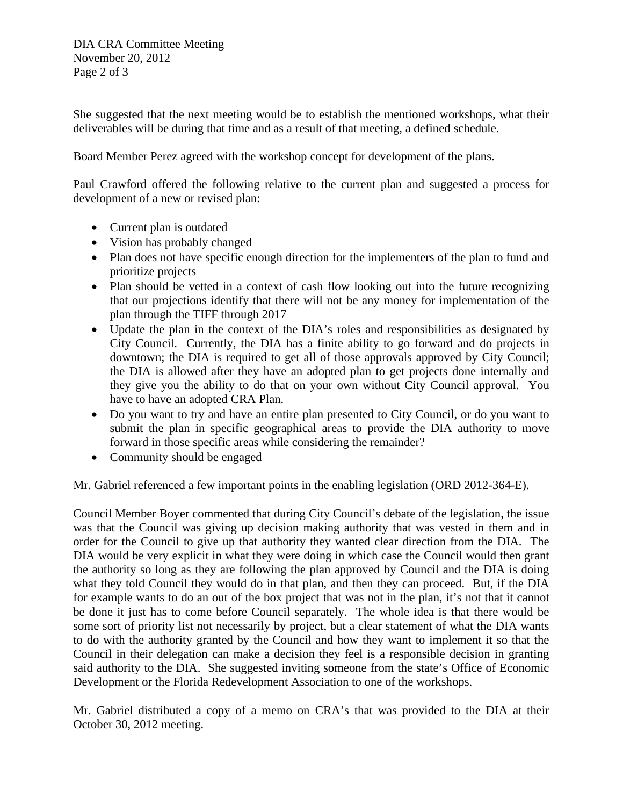DIA CRA Committee Meeting November 20, 2012 Page 2 of 3

She suggested that the next meeting would be to establish the mentioned workshops, what their deliverables will be during that time and as a result of that meeting, a defined schedule.

Board Member Perez agreed with the workshop concept for development of the plans.

Paul Crawford offered the following relative to the current plan and suggested a process for development of a new or revised plan:

- Current plan is outdated
- Vision has probably changed
- Plan does not have specific enough direction for the implementers of the plan to fund and prioritize projects
- Plan should be vetted in a context of cash flow looking out into the future recognizing that our projections identify that there will not be any money for implementation of the plan through the TIFF through 2017
- Update the plan in the context of the DIA's roles and responsibilities as designated by City Council. Currently, the DIA has a finite ability to go forward and do projects in downtown; the DIA is required to get all of those approvals approved by City Council; the DIA is allowed after they have an adopted plan to get projects done internally and they give you the ability to do that on your own without City Council approval. You have to have an adopted CRA Plan.
- Do you want to try and have an entire plan presented to City Council, or do you want to submit the plan in specific geographical areas to provide the DIA authority to move forward in those specific areas while considering the remainder?
- Community should be engaged

Mr. Gabriel referenced a few important points in the enabling legislation (ORD 2012-364-E).

Council Member Boyer commented that during City Council's debate of the legislation, the issue was that the Council was giving up decision making authority that was vested in them and in order for the Council to give up that authority they wanted clear direction from the DIA. The DIA would be very explicit in what they were doing in which case the Council would then grant the authority so long as they are following the plan approved by Council and the DIA is doing what they told Council they would do in that plan, and then they can proceed. But, if the DIA for example wants to do an out of the box project that was not in the plan, it's not that it cannot be done it just has to come before Council separately. The whole idea is that there would be some sort of priority list not necessarily by project, but a clear statement of what the DIA wants to do with the authority granted by the Council and how they want to implement it so that the Council in their delegation can make a decision they feel is a responsible decision in granting said authority to the DIA. She suggested inviting someone from the state's Office of Economic Development or the Florida Redevelopment Association to one of the workshops.

Mr. Gabriel distributed a copy of a memo on CRA's that was provided to the DIA at their October 30, 2012 meeting.